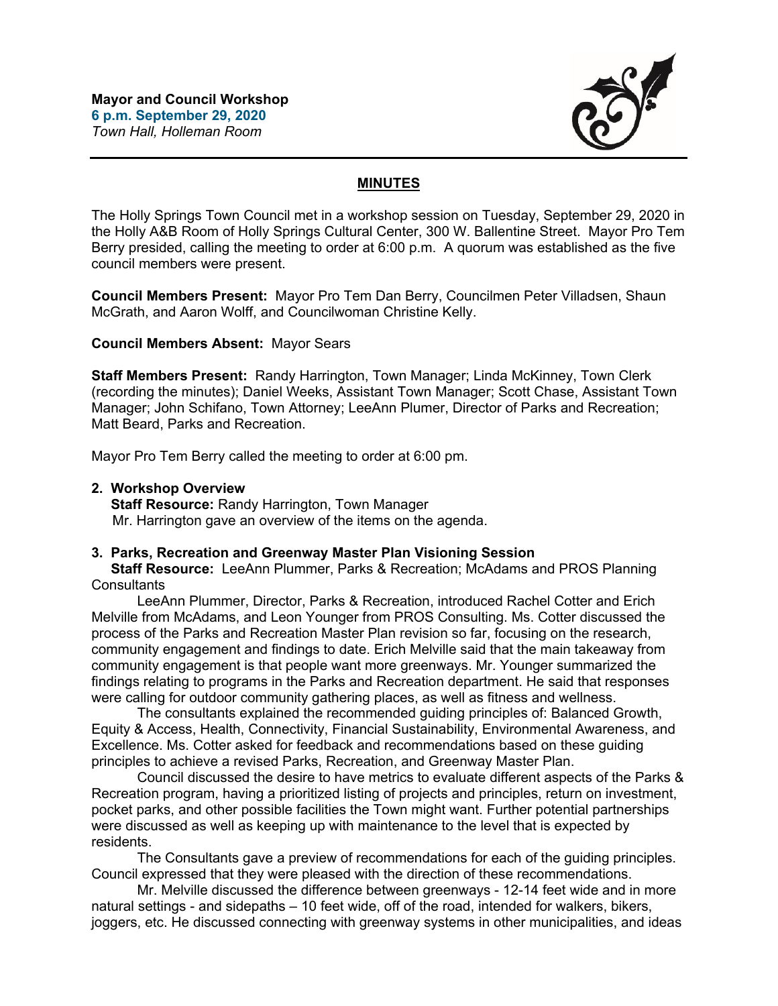

## **MINUTES**

The Holly Springs Town Council met in a workshop session on Tuesday, September 29, 2020 in the Holly A&B Room of Holly Springs Cultural Center, 300 W. Ballentine Street. Mayor Pro Tem Berry presided, calling the meeting to order at 6:00 p.m. A quorum was established as the five council members were present.

**Council Members Present:** Mayor Pro Tem Dan Berry, Councilmen Peter Villadsen, Shaun McGrath, and Aaron Wolff, and Councilwoman Christine Kelly.

### **Council Members Absent:** Mayor Sears

**Staff Members Present:** Randy Harrington, Town Manager; Linda McKinney, Town Clerk (recording the minutes); Daniel Weeks, Assistant Town Manager; Scott Chase, Assistant Town Manager; John Schifano, Town Attorney; LeeAnn Plumer, Director of Parks and Recreation; Matt Beard, Parks and Recreation.

Mayor Pro Tem Berry called the meeting to order at 6:00 pm.

#### **2. Workshop Overview**

 **Staff Resource:** Randy Harrington, Town Manager Mr. Harrington gave an overview of the items on the agenda.

#### **3. Parks, Recreation and Greenway Master Plan Visioning Session**

 **Staff Resource:** LeeAnn Plummer, Parks & Recreation; McAdams and PROS Planning **Consultants** 

LeeAnn Plummer, Director, Parks & Recreation, introduced Rachel Cotter and Erich Melville from McAdams, and Leon Younger from PROS Consulting. Ms. Cotter discussed the process of the Parks and Recreation Master Plan revision so far, focusing on the research, community engagement and findings to date. Erich Melville said that the main takeaway from community engagement is that people want more greenways. Mr. Younger summarized the findings relating to programs in the Parks and Recreation department. He said that responses were calling for outdoor community gathering places, as well as fitness and wellness.

The consultants explained the recommended guiding principles of: Balanced Growth, Equity & Access, Health, Connectivity, Financial Sustainability, Environmental Awareness, and Excellence. Ms. Cotter asked for feedback and recommendations based on these guiding principles to achieve a revised Parks, Recreation, and Greenway Master Plan.

Council discussed the desire to have metrics to evaluate different aspects of the Parks & Recreation program, having a prioritized listing of projects and principles, return on investment, pocket parks, and other possible facilities the Town might want. Further potential partnerships were discussed as well as keeping up with maintenance to the level that is expected by residents.

The Consultants gave a preview of recommendations for each of the guiding principles. Council expressed that they were pleased with the direction of these recommendations.

Mr. Melville discussed the difference between greenways - 12-14 feet wide and in more natural settings - and sidepaths – 10 feet wide, off of the road, intended for walkers, bikers, joggers, etc. He discussed connecting with greenway systems in other municipalities, and ideas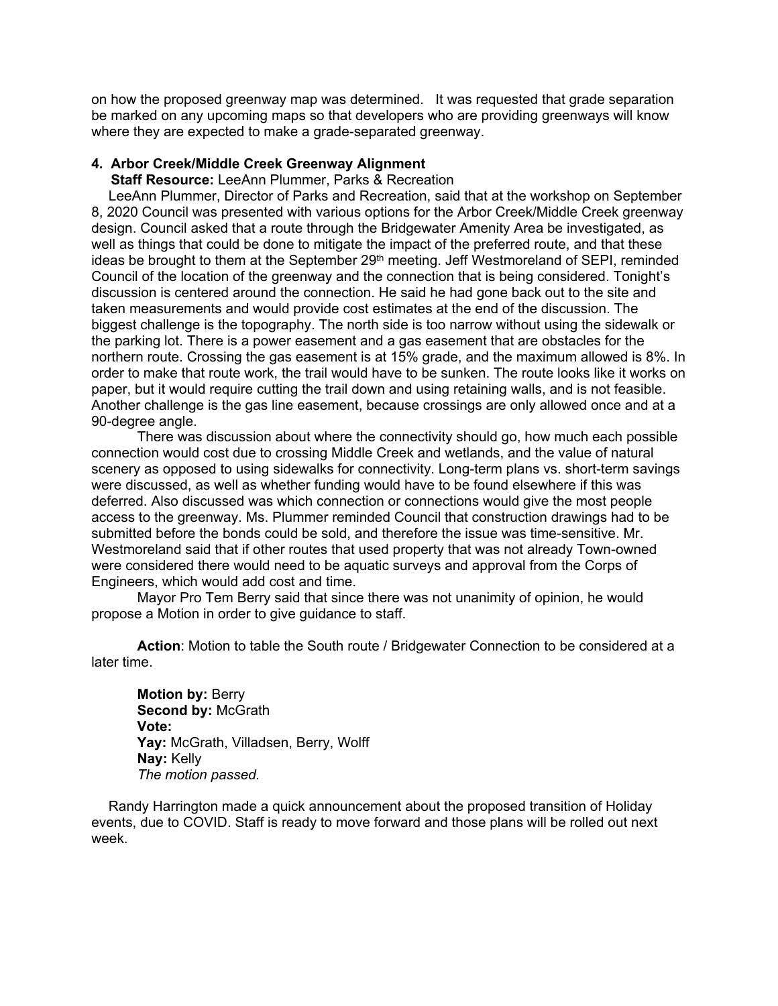on how the proposed greenway map was determined. It was requested that grade separation be marked on any upcoming maps so that developers who are providing greenways will know where they are expected to make a grade-separated greenway.

# **4. Arbor Creek/Middle Creek Greenway Alignment**

 **Staff Resource:** LeeAnn Plummer, Parks & Recreation

LeeAnn Plummer, Director of Parks and Recreation, said that at the workshop on September 8, 2020 Council was presented with various options for the Arbor Creek/Middle Creek greenway design. Council asked that a route through the Bridgewater Amenity Area be investigated, as well as things that could be done to mitigate the impact of the preferred route, and that these ideas be brought to them at the September 29<sup>th</sup> meeting. Jeff Westmoreland of SEPI, reminded Council of the location of the greenway and the connection that is being considered. Tonight's discussion is centered around the connection. He said he had gone back out to the site and taken measurements and would provide cost estimates at the end of the discussion. The biggest challenge is the topography. The north side is too narrow without using the sidewalk or the parking lot. There is a power easement and a gas easement that are obstacles for the northern route. Crossing the gas easement is at 15% grade, and the maximum allowed is 8%. In order to make that route work, the trail would have to be sunken. The route looks like it works on paper, but it would require cutting the trail down and using retaining walls, and is not feasible. Another challenge is the gas line easement, because crossings are only allowed once and at a 90-degree angle.

There was discussion about where the connectivity should go, how much each possible connection would cost due to crossing Middle Creek and wetlands, and the value of natural scenery as opposed to using sidewalks for connectivity. Long-term plans vs. short-term savings were discussed, as well as whether funding would have to be found elsewhere if this was deferred. Also discussed was which connection or connections would give the most people access to the greenway. Ms. Plummer reminded Council that construction drawings had to be submitted before the bonds could be sold, and therefore the issue was time-sensitive. Mr. Westmoreland said that if other routes that used property that was not already Town-owned were considered there would need to be aquatic surveys and approval from the Corps of Engineers, which would add cost and time.

Mayor Pro Tem Berry said that since there was not unanimity of opinion, he would propose a Motion in order to give guidance to staff.

**Action**: Motion to table the South route / Bridgewater Connection to be considered at a later time.

**Motion by:** Berry **Second by:** McGrath **Vote: Yay:** McGrath, Villadsen, Berry, Wolff **Nay:** Kelly *The motion passed.*

Randy Harrington made a quick announcement about the proposed transition of Holiday events, due to COVID. Staff is ready to move forward and those plans will be rolled out next week.